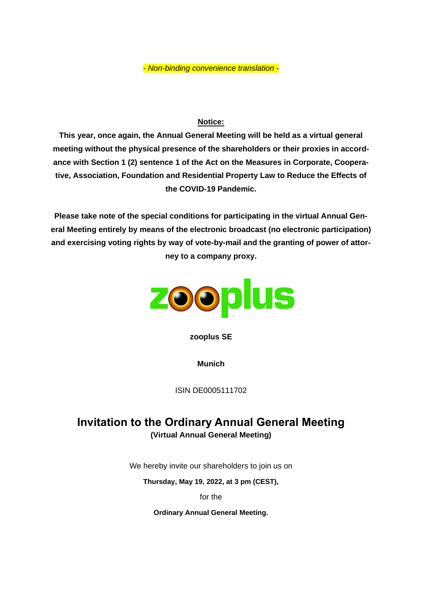*- Non-binding convenience translation -*

## **Notice:**

**This year, once again, the Annual General Meeting will be held as a virtual general meeting without the physical presence of the shareholders or their proxies in accordance with Section 1 (2) sentence 1 of the Act on the Measures in Corporate, Cooperative, Association, Foundation and Residential Property Law to Reduce the Effects of the COVID-19 Pandemic.**

**Please take note of the special conditions for participating in the virtual Annual General Meeting entirely by means of the electronic broadcast (no electronic participation) and exercising voting rights by way of vote-by-mail and the granting of power of attorney to a company proxy.**



**zooplus SE**

**Munich**

ISIN DE0005111702

# **Invitation to the Ordinary Annual General Meeting (Virtual Annual General Meeting)**

We hereby invite our shareholders to join us on

**Thursday, May 19, 2022, at 3 pm (CEST),**

for the

**Ordinary Annual General Meeting.**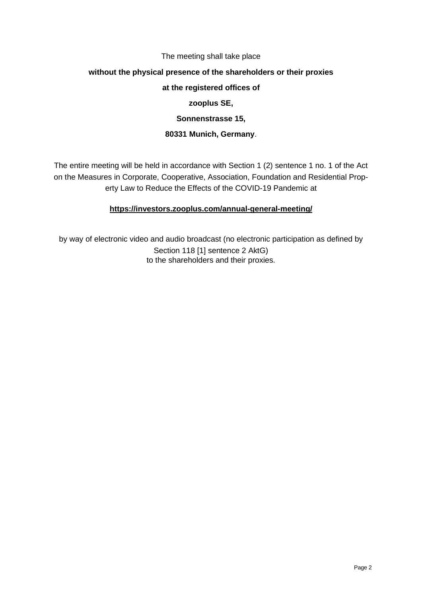#### The meeting shall take place

#### **without the physical presence of the shareholders or their proxies**

#### **at the registered offices of**

#### **zooplus SE,**

#### **Sonnenstrasse 15,**

#### **80331 Munich, Germany**.

The entire meeting will be held in accordance with Section 1 (2) sentence 1 no. 1 of the Act on the Measures in Corporate, Cooperative, Association, Foundation and Residential Property Law to Reduce the Effects of the COVID-19 Pandemic at

#### **<https://investors.zooplus.com/annual-general-meeting/>**

by way of electronic video and audio broadcast (no electronic participation as defined by Section 118 [1] sentence 2 AktG) to the shareholders and their proxies.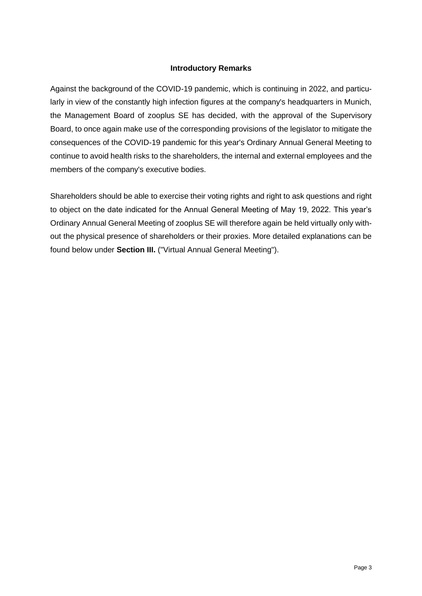#### **Introductory Remarks**

Against the background of the COVID-19 pandemic, which is continuing in 2022, and particularly in view of the constantly high infection figures at the company's headquarters in Munich, the Management Board of zooplus SE has decided, with the approval of the Supervisory Board, to once again make use of the corresponding provisions of the legislator to mitigate the consequences of the COVID-19 pandemic for this year's Ordinary Annual General Meeting to continue to avoid health risks to the shareholders, the internal and external employees and the members of the company's executive bodies.

Shareholders should be able to exercise their voting rights and right to ask questions and right to object on the date indicated for the Annual General Meeting of May 19, 2022. This year's Ordinary Annual General Meeting of zooplus SE will therefore again be held virtually only without the physical presence of shareholders or their proxies. More detailed explanations can be found below under **Section III.** ("Virtual Annual General Meeting").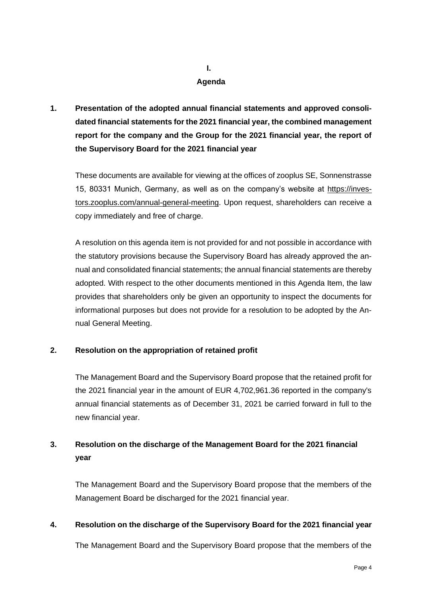## **I. Agenda**

**1. Presentation of the adopted annual financial statements and approved consolidated financial statements for the 2021 financial year, the combined management report for the company and the Group for the 2021 financial year, the report of the Supervisory Board for the 2021 financial year**

These documents are available for viewing at the offices of zooplus SE, Sonnenstrasse 15, 80331 Munich, Germany, as well as on the company's website at https://investors.zooplus.com/annual-general-meeting. Upon request, shareholders can receive a copy immediately and free of charge.

A resolution on this agenda item is not provided for and not possible in accordance with the statutory provisions because the Supervisory Board has already approved the annual and consolidated financial statements; the annual financial statements are thereby adopted. With respect to the other documents mentioned in this Agenda Item, the law provides that shareholders only be given an opportunity to inspect the documents for informational purposes but does not provide for a resolution to be adopted by the Annual General Meeting.

## **2. Resolution on the appropriation of retained profit**

The Management Board and the Supervisory Board propose that the retained profit for the 2021 financial year in the amount of EUR 4,702,961.36 reported in the company's annual financial statements as of December 31, 2021 be carried forward in full to the new financial year.

# **3. Resolution on the discharge of the Management Board for the 2021 financial year**

The Management Board and the Supervisory Board propose that the members of the Management Board be discharged for the 2021 financial year.

## **4. Resolution on the discharge of the Supervisory Board for the 2021 financial year**

The Management Board and the Supervisory Board propose that the members of the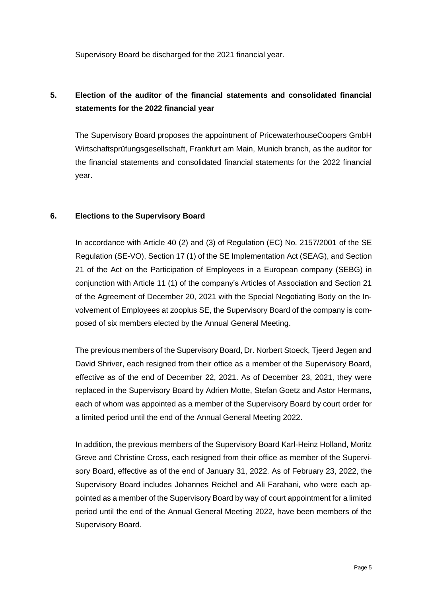Supervisory Board be discharged for the 2021 financial year.

# **5. Election of the auditor of the financial statements and consolidated financial statements for the 2022 financial year**

The Supervisory Board proposes the appointment of PricewaterhouseCoopers GmbH Wirtschaftsprüfungsgesellschaft, Frankfurt am Main, Munich branch, as the auditor for the financial statements and consolidated financial statements for the 2022 financial year.

## **6. Elections to the Supervisory Board**

In accordance with Article 40 (2) and (3) of Regulation (EC) No. 2157/2001 of the SE Regulation (SE-VO), Section 17 (1) of the SE Implementation Act (SEAG), and Section 21 of the Act on the Participation of Employees in a European company (SEBG) in conjunction with Article 11 (1) of the company's Articles of Association and Section 21 of the Agreement of December 20, 2021 with the Special Negotiating Body on the Involvement of Employees at zooplus SE, the Supervisory Board of the company is composed of six members elected by the Annual General Meeting.

The previous members of the Supervisory Board, Dr. Norbert Stoeck, Tjeerd Jegen and David Shriver, each resigned from their office as a member of the Supervisory Board, effective as of the end of December 22, 2021. As of December 23, 2021, they were replaced in the Supervisory Board by Adrien Motte, Stefan Goetz and Astor Hermans, each of whom was appointed as a member of the Supervisory Board by court order for a limited period until the end of the Annual General Meeting 2022.

In addition, the previous members of the Supervisory Board Karl-Heinz Holland, Moritz Greve and Christine Cross, each resigned from their office as member of the Supervisory Board, effective as of the end of January 31, 2022. As of February 23, 2022, the Supervisory Board includes Johannes Reichel and Ali Farahani, who were each appointed as a member of the Supervisory Board by way of court appointment for a limited period until the end of the Annual General Meeting 2022, have been members of the Supervisory Board.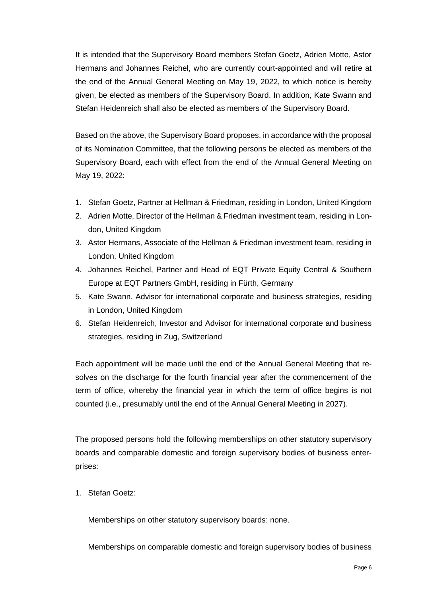It is intended that the Supervisory Board members Stefan Goetz, Adrien Motte, Astor Hermans and Johannes Reichel, who are currently court-appointed and will retire at the end of the Annual General Meeting on May 19, 2022, to which notice is hereby given, be elected as members of the Supervisory Board. In addition, Kate Swann and Stefan Heidenreich shall also be elected as members of the Supervisory Board.

Based on the above, the Supervisory Board proposes, in accordance with the proposal of its Nomination Committee, that the following persons be elected as members of the Supervisory Board, each with effect from the end of the Annual General Meeting on May 19, 2022:

- 1. Stefan Goetz, Partner at Hellman & Friedman, residing in London, United Kingdom
- 2. Adrien Motte, Director of the Hellman & Friedman investment team, residing in London, United Kingdom
- 3. Astor Hermans, Associate of the Hellman & Friedman investment team, residing in London, United Kingdom
- 4. Johannes Reichel, Partner and Head of EQT Private Equity Central & Southern Europe at EQT Partners GmbH, residing in Fürth, Germany
- 5. Kate Swann, Advisor for international corporate and business strategies, residing in London, United Kingdom
- 6. Stefan Heidenreich, Investor and Advisor for international corporate and business strategies, residing in Zug, Switzerland

Each appointment will be made until the end of the Annual General Meeting that resolves on the discharge for the fourth financial year after the commencement of the term of office, whereby the financial year in which the term of office begins is not counted (i.e., presumably until the end of the Annual General Meeting in 2027).

The proposed persons hold the following memberships on other statutory supervisory boards and comparable domestic and foreign supervisory bodies of business enterprises:

1. Stefan Goetz:

Memberships on other statutory supervisory boards: none.

Memberships on comparable domestic and foreign supervisory bodies of business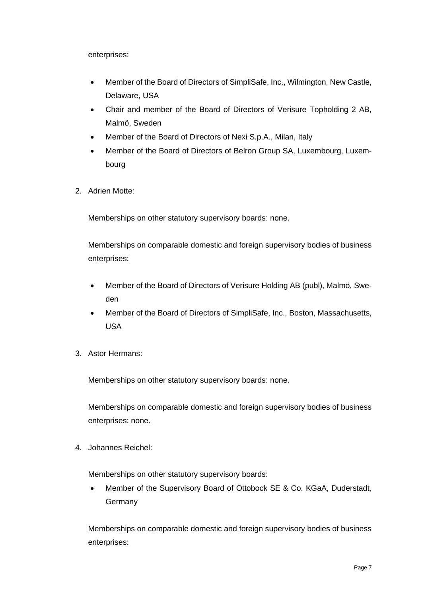enterprises:

- Member of the Board of Directors of SimpliSafe, Inc., Wilmington, New Castle, Delaware, USA
- Chair and member of the Board of Directors of Verisure Topholding 2 AB, Malmö, Sweden
- Member of the Board of Directors of Nexi S.p.A., Milan, Italy
- Member of the Board of Directors of Belron Group SA, Luxembourg, Luxembourg
- 2. Adrien Motte:

Memberships on other statutory supervisory boards: none.

Memberships on comparable domestic and foreign supervisory bodies of business enterprises:

- Member of the Board of Directors of Verisure Holding AB (publ), Malmö, Sweden
- Member of the Board of Directors of SimpliSafe, Inc., Boston, Massachusetts, USA
- 3. Astor Hermans:

Memberships on other statutory supervisory boards: none.

Memberships on comparable domestic and foreign supervisory bodies of business enterprises: none.

4. Johannes Reichel:

Memberships on other statutory supervisory boards:

• Member of the Supervisory Board of Ottobock SE & Co. KGaA, Duderstadt, Germany

Memberships on comparable domestic and foreign supervisory bodies of business enterprises: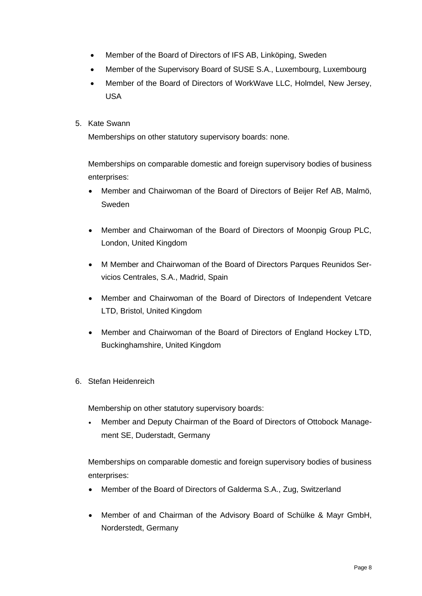- Member of the Board of Directors of IFS AB, Linköping, Sweden
- Member of the Supervisory Board of SUSE S.A., Luxembourg, Luxembourg
- Member of the Board of Directors of WorkWave LLC, Holmdel, New Jersey, USA
- 5. Kate Swann

Memberships on other statutory supervisory boards: none.

Memberships on comparable domestic and foreign supervisory bodies of business enterprises:

- Member and Chairwoman of the Board of Directors of Beijer Ref AB, Malmö, Sweden
- Member and Chairwoman of the Board of Directors of Moonpig Group PLC, London, United Kingdom
- M Member and Chairwoman of the Board of Directors Parques Reunidos Servicios Centrales, S.A., Madrid, Spain
- Member and Chairwoman of the Board of Directors of Independent Vetcare LTD, Bristol, United Kingdom
- Member and Chairwoman of the Board of Directors of England Hockey LTD, Buckinghamshire, United Kingdom
- 6. Stefan Heidenreich

Membership on other statutory supervisory boards:

• Member and Deputy Chairman of the Board of Directors of Ottobock Management SE, Duderstadt, Germany

Memberships on comparable domestic and foreign supervisory bodies of business enterprises:

- Member of the Board of Directors of Galderma S.A., Zug, Switzerland
- Member of and Chairman of the Advisory Board of Schülke & Mayr GmbH, Norderstedt, Germany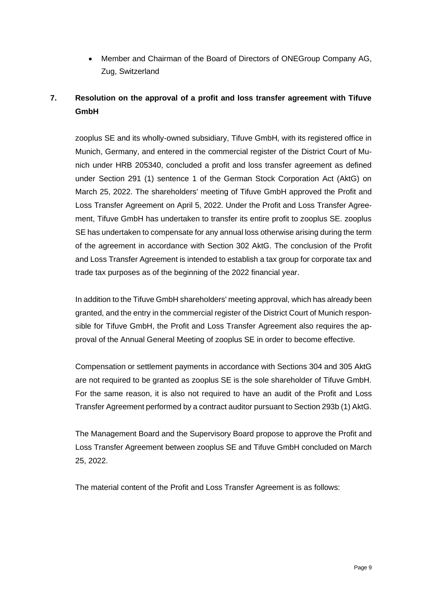• Member and Chairman of the Board of Directors of ONEGroup Company AG, Zug, Switzerland

# **7. Resolution on the approval of a profit and loss transfer agreement with Tifuve GmbH**

zooplus SE and its wholly-owned subsidiary, Tifuve GmbH, with its registered office in Munich, Germany, and entered in the commercial register of the District Court of Munich under HRB 205340, concluded a profit and loss transfer agreement as defined under Section 291 (1) sentence 1 of the German Stock Corporation Act (AktG) on March 25, 2022. The shareholders' meeting of Tifuve GmbH approved the Profit and Loss Transfer Agreement on April 5, 2022. Under the Profit and Loss Transfer Agreement, Tifuve GmbH has undertaken to transfer its entire profit to zooplus SE. zooplus SE has undertaken to compensate for any annual loss otherwise arising during the term of the agreement in accordance with Section 302 AktG. The conclusion of the Profit and Loss Transfer Agreement is intended to establish a tax group for corporate tax and trade tax purposes as of the beginning of the 2022 financial year.

In addition to the Tifuve GmbH shareholders' meeting approval, which has already been granted, and the entry in the commercial register of the District Court of Munich responsible for Tifuve GmbH, the Profit and Loss Transfer Agreement also requires the approval of the Annual General Meeting of zooplus SE in order to become effective.

Compensation or settlement payments in accordance with Sections 304 and 305 AktG are not required to be granted as zooplus SE is the sole shareholder of Tifuve GmbH. For the same reason, it is also not required to have an audit of the Profit and Loss Transfer Agreement performed by a contract auditor pursuant to Section 293b (1) AktG.

The Management Board and the Supervisory Board propose to approve the Profit and Loss Transfer Agreement between zooplus SE and Tifuve GmbH concluded on March 25, 2022.

The material content of the Profit and Loss Transfer Agreement is as follows: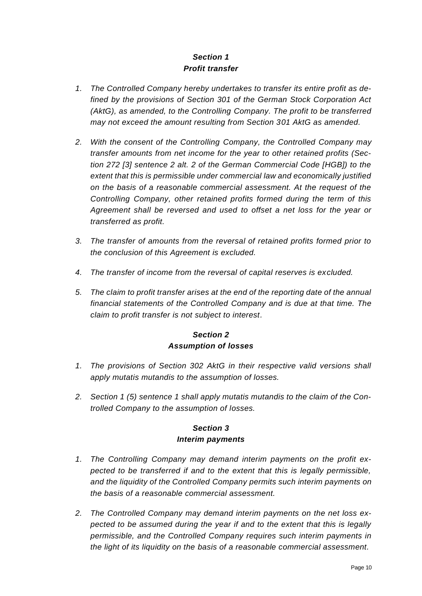# *Section 1 Profit transfer*

- *1. The Controlled Company hereby undertakes to transfer its entire profit as defined by the provisions of Section 301 of the German Stock Corporation Act (AktG), as amended, to the Controlling Company. The profit to be transferred may not exceed the amount resulting from Section 301 AktG as amended.*
- *2. With the consent of the Controlling Company, the Controlled Company may transfer amounts from net income for the year to other retained profits (Section 272 [3] sentence 2 alt. 2 of the German Commercial Code [HGB]) to the extent that this is permissible under commercial law and economically justified on the basis of a reasonable commercial assessment. At the request of the Controlling Company, other retained profits formed during the term of this Agreement shall be reversed and used to offset a net loss for the year or transferred as profit.*
- *3. The transfer of amounts from the reversal of retained profits formed prior to the conclusion of this Agreement is excluded.*
- *4. The transfer of income from the reversal of capital reserves is excluded.*
- *5. The claim to profit transfer arises at the end of the reporting date of the annual financial statements of the Controlled Company and is due at that time. The claim to profit transfer is not subject to interest.*

## *Section 2 Assumption of losses*

- *1. The provisions of Section 302 AktG in their respective valid versions shall apply mutatis mutandis to the assumption of losses.*
- *2. Section 1 (5) sentence 1 shall apply mutatis mutandis to the claim of the Controlled Company to the assumption of losses.*

## *Section 3 Interim payments*

- *1. The Controlling Company may demand interim payments on the profit expected to be transferred if and to the extent that this is legally permissible, and the liquidity of the Controlled Company permits such interim payments on the basis of a reasonable commercial assessment.*
- *2. The Controlled Company may demand interim payments on the net loss expected to be assumed during the year if and to the extent that this is legally permissible, and the Controlled Company requires such interim payments in the light of its liquidity on the basis of a reasonable commercial assessment.*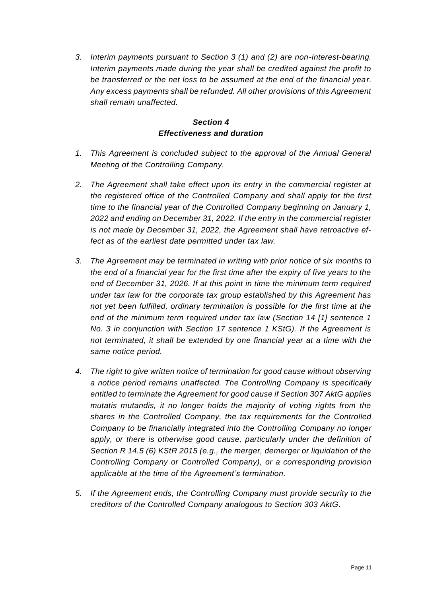*3. Interim payments pursuant to Section 3 (1) and (2) are non-interest-bearing. Interim payments made during the year shall be credited against the profit to be transferred or the net loss to be assumed at the end of the financial year. Any excess payments shall be refunded. All other provisions of this Agreement shall remain unaffected.*

# *Section 4 Effectiveness and duration*

- *1. This Agreement is concluded subject to the approval of the Annual General Meeting of the Controlling Company.*
- *2. The Agreement shall take effect upon its entry in the commercial register at the registered office of the Controlled Company and shall apply for the first time to the financial year of the Controlled Company beginning on January 1, 2022 and ending on December 31, 2022. If the entry in the commercial register is not made by December 31, 2022, the Agreement shall have retroactive effect as of the earliest date permitted under tax law.*
- *3. The Agreement may be terminated in writing with prior notice of six months to the end of a financial year for the first time after the expiry of five years to the end of December 31, 2026. If at this point in time the minimum term required under tax law for the corporate tax group established by this Agreement has not yet been fulfilled, ordinary termination is possible for the first time at the end of the minimum term required under tax law (Section 14 [1] sentence 1 No. 3 in conjunction with Section 17 sentence 1 KStG). If the Agreement is not terminated, it shall be extended by one financial year at a time with the same notice period.*
- *4. The right to give written notice of termination for good cause without observing a notice period remains unaffected. The Controlling Company is specifically entitled to terminate the Agreement for good cause if Section 307 AktG applies mutatis mutandis, it no longer holds the majority of voting rights from the shares in the Controlled Company, the tax requirements for the Controlled Company to be financially integrated into the Controlling Company no longer*  apply, or there is otherwise good cause, particularly under the definition of *Section R 14.5 (6) KStR 2015 (e.g., the merger, demerger or liquidation of the Controlling Company or Controlled Company), or a corresponding provision applicable at the time of the Agreement's termination.*
- *5. If the Agreement ends, the Controlling Company must provide security to the creditors of the Controlled Company analogous to Section 303 AktG.*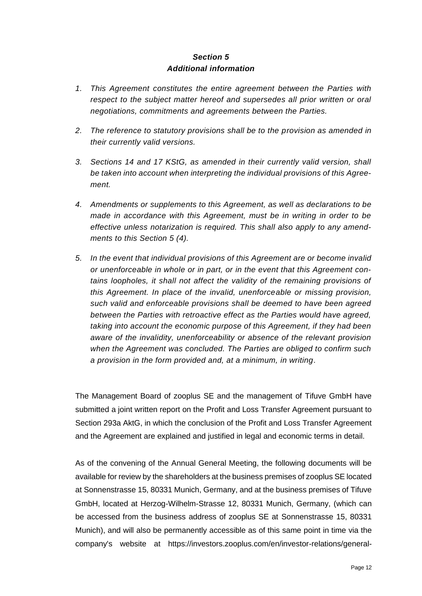## *Section 5 Additional information*

- *1. This Agreement constitutes the entire agreement between the Parties with respect to the subject matter hereof and supersedes all prior written or oral negotiations, commitments and agreements between the Parties.*
- *2. The reference to statutory provisions shall be to the provision as amended in their currently valid versions.*
- *3. Sections 14 and 17 KStG, as amended in their currently valid version, shall be taken into account when interpreting the individual provisions of this Agreement.*
- *4. Amendments or supplements to this Agreement, as well as declarations to be made in accordance with this Agreement, must be in writing in order to be effective unless notarization is required. This shall also apply to any amendments to this Section 5 (4).*
- *5. In the event that individual provisions of this Agreement are or become invalid or unenforceable in whole or in part, or in the event that this Agreement contains loopholes, it shall not affect the validity of the remaining provisions of this Agreement. In place of the invalid, unenforceable or missing provision, such valid and enforceable provisions shall be deemed to have been agreed between the Parties with retroactive effect as the Parties would have agreed, taking into account the economic purpose of this Agreement, if they had been aware of the invalidity, unenforceability or absence of the relevant provision when the Agreement was concluded. The Parties are obliged to confirm such a provision in the form provided and, at a minimum, in writing.*

The Management Board of zooplus SE and the management of Tifuve GmbH have submitted a joint written report on the Profit and Loss Transfer Agreement pursuant to Section 293a AktG, in which the conclusion of the Profit and Loss Transfer Agreement and the Agreement are explained and justified in legal and economic terms in detail.

As of the convening of the Annual General Meeting, the following documents will be available for review by the shareholders at the business premises of zooplus SE located at Sonnenstrasse 15, 80331 Munich, Germany, and at the business premises of Tifuve GmbH, located at Herzog-Wilhelm-Strasse 12, 80331 Munich, Germany, (which can be accessed from the business address of zooplus SE at Sonnenstrasse 15, 80331 Munich), and will also be permanently accessible as of this same point in time via the company's website at https://investors.zooplus.com/en/investor-relations/general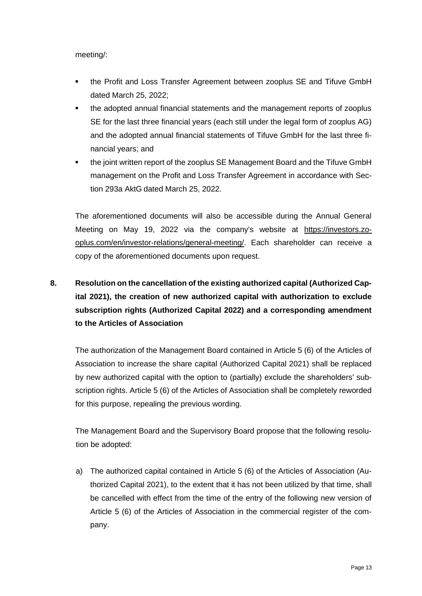meeting/:

- the Profit and Loss Transfer Agreement between zooplus SE and Tifuve GmbH dated March 25, 2022;
- **•** the adopted annual financial statements and the management reports of zooplus SE for the last three financial years (each still under the legal form of zooplus AG) and the adopted annual financial statements of Tifuve GmbH for the last three financial years; and
- the joint written report of the zooplus SE Management Board and the Tifuve GmbH management on the Profit and Loss Transfer Agreement in accordance with Section 293a AktG dated March 25, 2022.

The aforementioned documents will also be accessible during the Annual General Meeting on May 19, 2022 via the company's website at [https://investors.zo](https://investors.zooplus.com/en/investor-relations/general-meeting/)[oplus.com/en/investor-relations/general-meeting/.](https://investors.zooplus.com/en/investor-relations/general-meeting/) Each shareholder can receive a copy of the aforementioned documents upon request.

# **8. Resolution on the cancellation of the existing authorized capital (Authorized Capital 2021), the creation of new authorized capital with authorization to exclude subscription rights (Authorized Capital 2022) and a corresponding amendment to the Articles of Association**

The authorization of the Management Board contained in Article 5 (6) of the Articles of Association to increase the share capital (Authorized Capital 2021) shall be replaced by new authorized capital with the option to (partially) exclude the shareholders' subscription rights. Article 5 (6) of the Articles of Association shall be completely reworded for this purpose, repealing the previous wording.

The Management Board and the Supervisory Board propose that the following resolution be adopted:

a) The authorized capital contained in Article 5 (6) of the Articles of Association (Authorized Capital 2021), to the extent that it has not been utilized by that time, shall be cancelled with effect from the time of the entry of the following new version of Article 5 (6) of the Articles of Association in the commercial register of the company.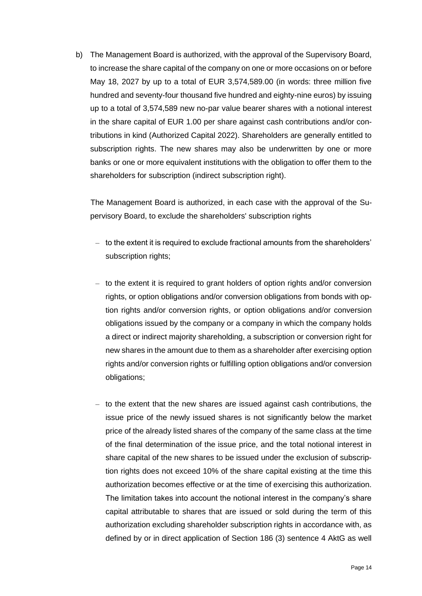b) The Management Board is authorized, with the approval of the Supervisory Board, to increase the share capital of the company on one or more occasions on or before May 18, 2027 by up to a total of EUR 3,574,589.00 (in words: three million five hundred and seventy-four thousand five hundred and eighty-nine euros) by issuing up to a total of 3,574,589 new no-par value bearer shares with a notional interest in the share capital of EUR 1.00 per share against cash contributions and/or contributions in kind (Authorized Capital 2022). Shareholders are generally entitled to subscription rights. The new shares may also be underwritten by one or more banks or one or more equivalent institutions with the obligation to offer them to the shareholders for subscription (indirect subscription right).

The Management Board is authorized, in each case with the approval of the Supervisory Board, to exclude the shareholders' subscription rights

- to the extent it is required to exclude fractional amounts from the shareholders' subscription rights;
- to the extent it is required to grant holders of option rights and/or conversion rights, or option obligations and/or conversion obligations from bonds with option rights and/or conversion rights, or option obligations and/or conversion obligations issued by the company or a company in which the company holds a direct or indirect majority shareholding, a subscription or conversion right for new shares in the amount due to them as a shareholder after exercising option rights and/or conversion rights or fulfilling option obligations and/or conversion obligations;
- to the extent that the new shares are issued against cash contributions, the issue price of the newly issued shares is not significantly below the market price of the already listed shares of the company of the same class at the time of the final determination of the issue price, and the total notional interest in share capital of the new shares to be issued under the exclusion of subscription rights does not exceed 10% of the share capital existing at the time this authorization becomes effective or at the time of exercising this authorization. The limitation takes into account the notional interest in the company's share capital attributable to shares that are issued or sold during the term of this authorization excluding shareholder subscription rights in accordance with, as defined by or in direct application of Section 186 (3) sentence 4 AktG as well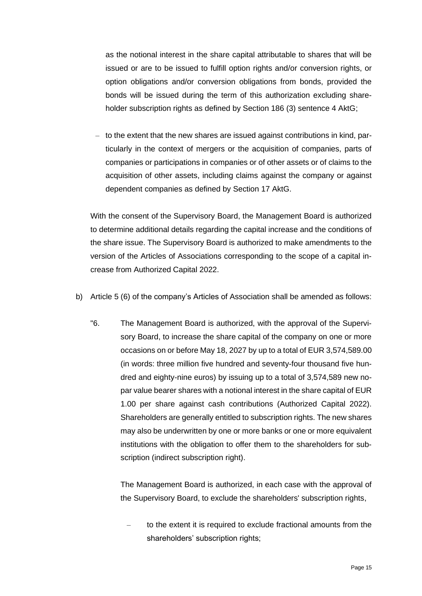as the notional interest in the share capital attributable to shares that will be issued or are to be issued to fulfill option rights and/or conversion rights, or option obligations and/or conversion obligations from bonds, provided the bonds will be issued during the term of this authorization excluding shareholder subscription rights as defined by Section 186 (3) sentence 4 AktG;

– to the extent that the new shares are issued against contributions in kind, particularly in the context of mergers or the acquisition of companies, parts of companies or participations in companies or of other assets or of claims to the acquisition of other assets, including claims against the company or against dependent companies as defined by Section 17 AktG.

With the consent of the Supervisory Board, the Management Board is authorized to determine additional details regarding the capital increase and the conditions of the share issue. The Supervisory Board is authorized to make amendments to the version of the Articles of Associations corresponding to the scope of a capital increase from Authorized Capital 2022.

- b) Article 5 (6) of the company's Articles of Association shall be amended as follows:
	- "6. The Management Board is authorized, with the approval of the Supervisory Board, to increase the share capital of the company on one or more occasions on or before May 18, 2027 by up to a total of EUR 3,574,589.00 (in words: three million five hundred and seventy-four thousand five hundred and eighty-nine euros) by issuing up to a total of 3,574,589 new nopar value bearer shares with a notional interest in the share capital of EUR 1.00 per share against cash contributions (Authorized Capital 2022). Shareholders are generally entitled to subscription rights. The new shares may also be underwritten by one or more banks or one or more equivalent institutions with the obligation to offer them to the shareholders for subscription (indirect subscription right).

The Management Board is authorized, in each case with the approval of the Supervisory Board, to exclude the shareholders' subscription rights,

– to the extent it is required to exclude fractional amounts from the shareholders' subscription rights;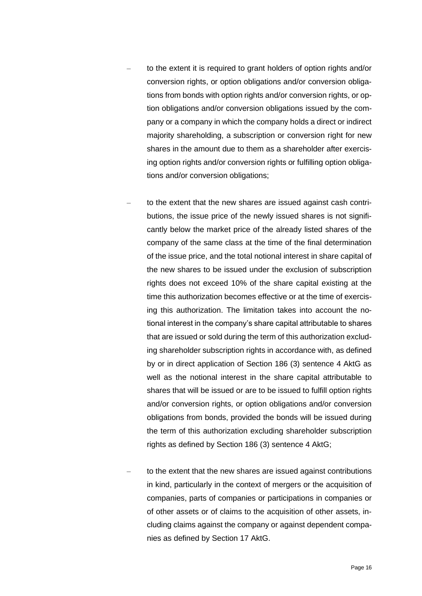- to the extent it is required to grant holders of option rights and/or conversion rights, or option obligations and/or conversion obligations from bonds with option rights and/or conversion rights, or option obligations and/or conversion obligations issued by the company or a company in which the company holds a direct or indirect majority shareholding, a subscription or conversion right for new shares in the amount due to them as a shareholder after exercising option rights and/or conversion rights or fulfilling option obligations and/or conversion obligations;
- to the extent that the new shares are issued against cash contributions, the issue price of the newly issued shares is not significantly below the market price of the already listed shares of the company of the same class at the time of the final determination of the issue price, and the total notional interest in share capital of the new shares to be issued under the exclusion of subscription rights does not exceed 10% of the share capital existing at the time this authorization becomes effective or at the time of exercising this authorization. The limitation takes into account the notional interest in the company's share capital attributable to shares that are issued or sold during the term of this authorization excluding shareholder subscription rights in accordance with, as defined by or in direct application of Section 186 (3) sentence 4 AktG as well as the notional interest in the share capital attributable to shares that will be issued or are to be issued to fulfill option rights and/or conversion rights, or option obligations and/or conversion obligations from bonds, provided the bonds will be issued during the term of this authorization excluding shareholder subscription rights as defined by Section 186 (3) sentence 4 AktG;
- to the extent that the new shares are issued against contributions in kind, particularly in the context of mergers or the acquisition of companies, parts of companies or participations in companies or of other assets or of claims to the acquisition of other assets, including claims against the company or against dependent companies as defined by Section 17 AktG.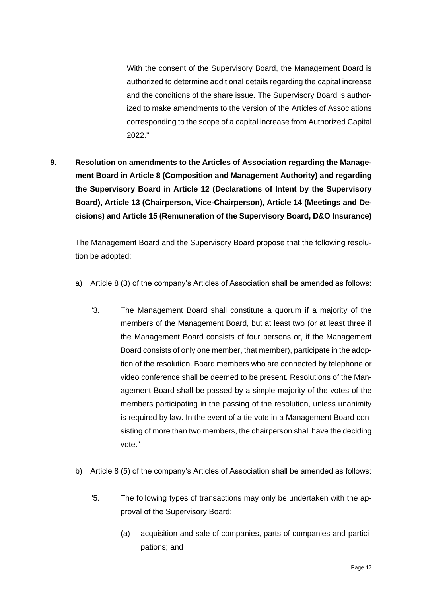With the consent of the Supervisory Board, the Management Board is authorized to determine additional details regarding the capital increase and the conditions of the share issue. The Supervisory Board is authorized to make amendments to the version of the Articles of Associations corresponding to the scope of a capital increase from Authorized Capital 2022."

**9. Resolution on amendments to the Articles of Association regarding the Management Board in Article 8 (Composition and Management Authority) and regarding the Supervisory Board in Article 12 (Declarations of Intent by the Supervisory Board), Article 13 (Chairperson, Vice-Chairperson), Article 14 (Meetings and Decisions) and Article 15 (Remuneration of the Supervisory Board, D&O Insurance)**

The Management Board and the Supervisory Board propose that the following resolution be adopted:

- a) Article 8 (3) of the company's Articles of Association shall be amended as follows:
	- "3. The Management Board shall constitute a quorum if a majority of the members of the Management Board, but at least two (or at least three if the Management Board consists of four persons or, if the Management Board consists of only one member, that member), participate in the adoption of the resolution. Board members who are connected by telephone or video conference shall be deemed to be present. Resolutions of the Management Board shall be passed by a simple majority of the votes of the members participating in the passing of the resolution, unless unanimity is required by law. In the event of a tie vote in a Management Board consisting of more than two members, the chairperson shall have the deciding vote."
- b) Article 8 (5) of the company's Articles of Association shall be amended as follows:
	- "5. The following types of transactions may only be undertaken with the approval of the Supervisory Board:
		- (a) acquisition and sale of companies, parts of companies and participations; and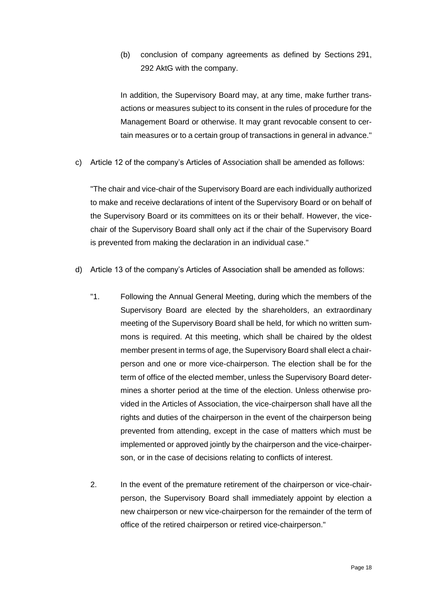(b) conclusion of company agreements as defined by Sections 291, 292 AktG with the company.

In addition, the Supervisory Board may, at any time, make further transactions or measures subject to its consent in the rules of procedure for the Management Board or otherwise. It may grant revocable consent to certain measures or to a certain group of transactions in general in advance."

c) Article 12 of the company's Articles of Association shall be amended as follows:

"The chair and vice-chair of the Supervisory Board are each individually authorized to make and receive declarations of intent of the Supervisory Board or on behalf of the Supervisory Board or its committees on its or their behalf. However, the vicechair of the Supervisory Board shall only act if the chair of the Supervisory Board is prevented from making the declaration in an individual case."

- d) Article 13 of the company's Articles of Association shall be amended as follows:
	- "1. Following the Annual General Meeting, during which the members of the Supervisory Board are elected by the shareholders, an extraordinary meeting of the Supervisory Board shall be held, for which no written summons is required. At this meeting, which shall be chaired by the oldest member present in terms of age, the Supervisory Board shall elect a chairperson and one or more vice-chairperson. The election shall be for the term of office of the elected member, unless the Supervisory Board determines a shorter period at the time of the election. Unless otherwise provided in the Articles of Association, the vice-chairperson shall have all the rights and duties of the chairperson in the event of the chairperson being prevented from attending, except in the case of matters which must be implemented or approved jointly by the chairperson and the vice-chairperson, or in the case of decisions relating to conflicts of interest.
	- 2. In the event of the premature retirement of the chairperson or vice-chairperson, the Supervisory Board shall immediately appoint by election a new chairperson or new vice-chairperson for the remainder of the term of office of the retired chairperson or retired vice-chairperson."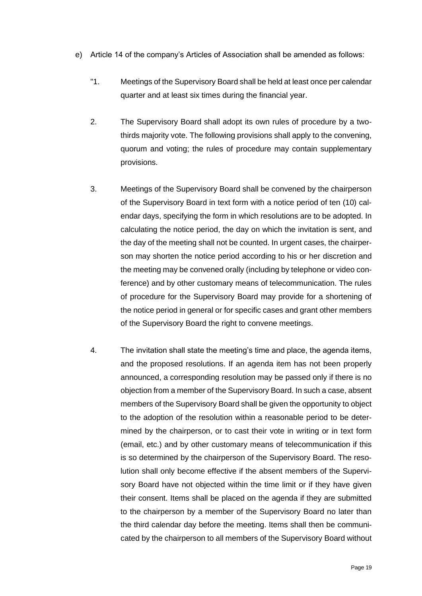- e) Article 14 of the company's Articles of Association shall be amended as follows:
	- "1. Meetings of the Supervisory Board shall be held at least once per calendar quarter and at least six times during the financial year.
	- 2. The Supervisory Board shall adopt its own rules of procedure by a twothirds majority vote. The following provisions shall apply to the convening, quorum and voting; the rules of procedure may contain supplementary provisions.
	- 3. Meetings of the Supervisory Board shall be convened by the chairperson of the Supervisory Board in text form with a notice period of ten (10) calendar days, specifying the form in which resolutions are to be adopted. In calculating the notice period, the day on which the invitation is sent, and the day of the meeting shall not be counted. In urgent cases, the chairperson may shorten the notice period according to his or her discretion and the meeting may be convened orally (including by telephone or video conference) and by other customary means of telecommunication. The rules of procedure for the Supervisory Board may provide for a shortening of the notice period in general or for specific cases and grant other members of the Supervisory Board the right to convene meetings.
	- 4. The invitation shall state the meeting's time and place, the agenda items, and the proposed resolutions. If an agenda item has not been properly announced, a corresponding resolution may be passed only if there is no objection from a member of the Supervisory Board. In such a case, absent members of the Supervisory Board shall be given the opportunity to object to the adoption of the resolution within a reasonable period to be determined by the chairperson, or to cast their vote in writing or in text form (email, etc.) and by other customary means of telecommunication if this is so determined by the chairperson of the Supervisory Board. The resolution shall only become effective if the absent members of the Supervisory Board have not objected within the time limit or if they have given their consent. Items shall be placed on the agenda if they are submitted to the chairperson by a member of the Supervisory Board no later than the third calendar day before the meeting. Items shall then be communicated by the chairperson to all members of the Supervisory Board without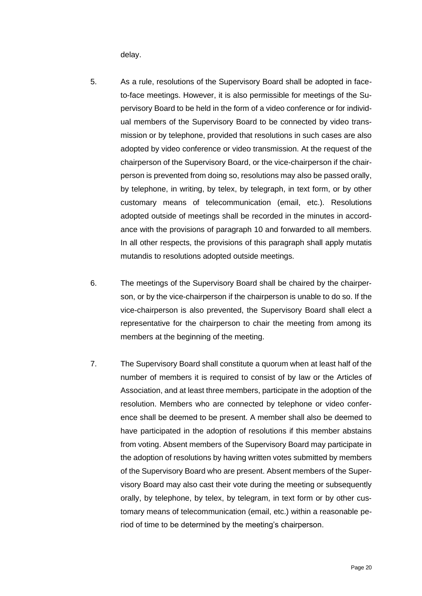delay.

- 5. As a rule, resolutions of the Supervisory Board shall be adopted in faceto-face meetings. However, it is also permissible for meetings of the Supervisory Board to be held in the form of a video conference or for individual members of the Supervisory Board to be connected by video transmission or by telephone, provided that resolutions in such cases are also adopted by video conference or video transmission. At the request of the chairperson of the Supervisory Board, or the vice-chairperson if the chairperson is prevented from doing so, resolutions may also be passed orally, by telephone, in writing, by telex, by telegraph, in text form, or by other customary means of telecommunication (email, etc.). Resolutions adopted outside of meetings shall be recorded in the minutes in accordance with the provisions of paragraph 10 and forwarded to all members. In all other respects, the provisions of this paragraph shall apply mutatis mutandis to resolutions adopted outside meetings.
- 6. The meetings of the Supervisory Board shall be chaired by the chairperson, or by the vice-chairperson if the chairperson is unable to do so. If the vice-chairperson is also prevented, the Supervisory Board shall elect a representative for the chairperson to chair the meeting from among its members at the beginning of the meeting.
- 7. The Supervisory Board shall constitute a quorum when at least half of the number of members it is required to consist of by law or the Articles of Association, and at least three members, participate in the adoption of the resolution. Members who are connected by telephone or video conference shall be deemed to be present. A member shall also be deemed to have participated in the adoption of resolutions if this member abstains from voting. Absent members of the Supervisory Board may participate in the adoption of resolutions by having written votes submitted by members of the Supervisory Board who are present. Absent members of the Supervisory Board may also cast their vote during the meeting or subsequently orally, by telephone, by telex, by telegram, in text form or by other customary means of telecommunication (email, etc.) within a reasonable period of time to be determined by the meeting's chairperson.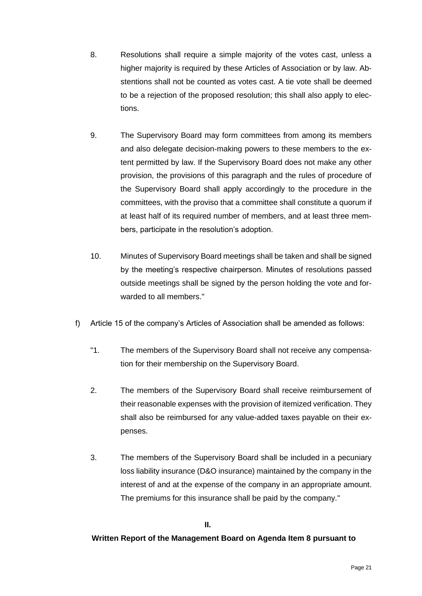- 8. Resolutions shall require a simple majority of the votes cast, unless a higher majority is required by these Articles of Association or by law. Abstentions shall not be counted as votes cast. A tie vote shall be deemed to be a rejection of the proposed resolution; this shall also apply to elections.
- 9. The Supervisory Board may form committees from among its members and also delegate decision-making powers to these members to the extent permitted by law. If the Supervisory Board does not make any other provision, the provisions of this paragraph and the rules of procedure of the Supervisory Board shall apply accordingly to the procedure in the committees, with the proviso that a committee shall constitute a quorum if at least half of its required number of members, and at least three members, participate in the resolution's adoption.
- 10. Minutes of Supervisory Board meetings shall be taken and shall be signed by the meeting's respective chairperson. Minutes of resolutions passed outside meetings shall be signed by the person holding the vote and forwarded to all members."
- f) Article 15 of the company's Articles of Association shall be amended as follows:
	- "1. The members of the Supervisory Board shall not receive any compensation for their membership on the Supervisory Board.
	- 2. The members of the Supervisory Board shall receive reimbursement of their reasonable expenses with the provision of itemized verification. They shall also be reimbursed for any value-added taxes payable on their expenses.
	- 3. The members of the Supervisory Board shall be included in a pecuniary loss liability insurance (D&O insurance) maintained by the company in the interest of and at the expense of the company in an appropriate amount. The premiums for this insurance shall be paid by the company."

#### **II.**

#### **Written Report of the Management Board on Agenda Item 8 pursuant to**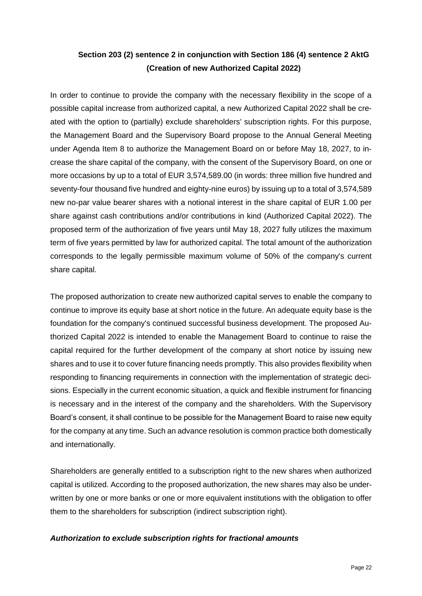# **Section 203 (2) sentence 2 in conjunction with Section 186 (4) sentence 2 AktG (Creation of new Authorized Capital 2022)**

In order to continue to provide the company with the necessary flexibility in the scope of a possible capital increase from authorized capital, a new Authorized Capital 2022 shall be created with the option to (partially) exclude shareholders' subscription rights. For this purpose, the Management Board and the Supervisory Board propose to the Annual General Meeting under Agenda Item 8 to authorize the Management Board on or before May 18, 2027, to increase the share capital of the company, with the consent of the Supervisory Board, on one or more occasions by up to a total of EUR 3,574,589.00 (in words: three million five hundred and seventy-four thousand five hundred and eighty-nine euros) by issuing up to a total of 3,574,589 new no-par value bearer shares with a notional interest in the share capital of EUR 1.00 per share against cash contributions and/or contributions in kind (Authorized Capital 2022). The proposed term of the authorization of five years until May 18, 2027 fully utilizes the maximum term of five years permitted by law for authorized capital. The total amount of the authorization corresponds to the legally permissible maximum volume of 50% of the company's current share capital.

The proposed authorization to create new authorized capital serves to enable the company to continue to improve its equity base at short notice in the future. An adequate equity base is the foundation for the company's continued successful business development. The proposed Authorized Capital 2022 is intended to enable the Management Board to continue to raise the capital required for the further development of the company at short notice by issuing new shares and to use it to cover future financing needs promptly. This also provides flexibility when responding to financing requirements in connection with the implementation of strategic decisions. Especially in the current economic situation, a quick and flexible instrument for financing is necessary and in the interest of the company and the shareholders. With the Supervisory Board's consent, it shall continue to be possible for the Management Board to raise new equity for the company at any time. Such an advance resolution is common practice both domestically and internationally.

Shareholders are generally entitled to a subscription right to the new shares when authorized capital is utilized. According to the proposed authorization, the new shares may also be underwritten by one or more banks or one or more equivalent institutions with the obligation to offer them to the shareholders for subscription (indirect subscription right).

## *Authorization to exclude subscription rights for fractional amounts*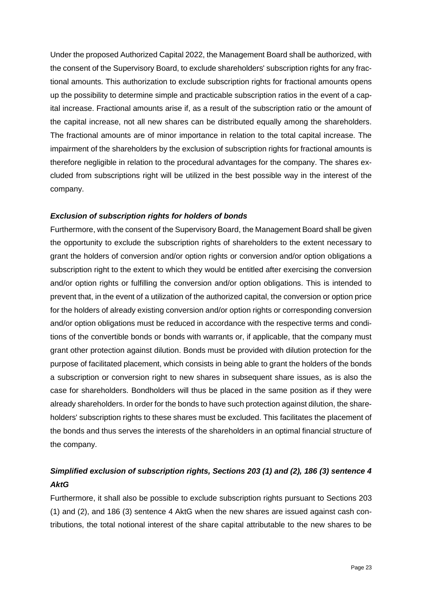Under the proposed Authorized Capital 2022, the Management Board shall be authorized, with the consent of the Supervisory Board, to exclude shareholders' subscription rights for any fractional amounts. This authorization to exclude subscription rights for fractional amounts opens up the possibility to determine simple and practicable subscription ratios in the event of a capital increase. Fractional amounts arise if, as a result of the subscription ratio or the amount of the capital increase, not all new shares can be distributed equally among the shareholders. The fractional amounts are of minor importance in relation to the total capital increase. The impairment of the shareholders by the exclusion of subscription rights for fractional amounts is therefore negligible in relation to the procedural advantages for the company. The shares excluded from subscriptions right will be utilized in the best possible way in the interest of the company.

## *Exclusion of subscription rights for holders of bonds*

Furthermore, with the consent of the Supervisory Board, the Management Board shall be given the opportunity to exclude the subscription rights of shareholders to the extent necessary to grant the holders of conversion and/or option rights or conversion and/or option obligations a subscription right to the extent to which they would be entitled after exercising the conversion and/or option rights or fulfilling the conversion and/or option obligations. This is intended to prevent that, in the event of a utilization of the authorized capital, the conversion or option price for the holders of already existing conversion and/or option rights or corresponding conversion and/or option obligations must be reduced in accordance with the respective terms and conditions of the convertible bonds or bonds with warrants or, if applicable, that the company must grant other protection against dilution. Bonds must be provided with dilution protection for the purpose of facilitated placement, which consists in being able to grant the holders of the bonds a subscription or conversion right to new shares in subsequent share issues, as is also the case for shareholders. Bondholders will thus be placed in the same position as if they were already shareholders. In order for the bonds to have such protection against dilution, the shareholders' subscription rights to these shares must be excluded. This facilitates the placement of the bonds and thus serves the interests of the shareholders in an optimal financial structure of the company.

# *Simplified exclusion of subscription rights, Sections 203 (1) and (2), 186 (3) sentence 4 AktG*

Furthermore, it shall also be possible to exclude subscription rights pursuant to Sections 203 (1) and (2), and 186 (3) sentence 4 AktG when the new shares are issued against cash contributions, the total notional interest of the share capital attributable to the new shares to be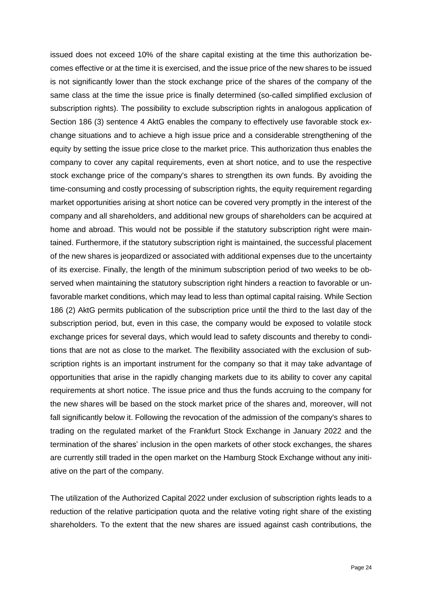issued does not exceed 10% of the share capital existing at the time this authorization becomes effective or at the time it is exercised, and the issue price of the new shares to be issued is not significantly lower than the stock exchange price of the shares of the company of the same class at the time the issue price is finally determined (so-called simplified exclusion of subscription rights). The possibility to exclude subscription rights in analogous application of Section 186 (3) sentence 4 AktG enables the company to effectively use favorable stock exchange situations and to achieve a high issue price and a considerable strengthening of the equity by setting the issue price close to the market price. This authorization thus enables the company to cover any capital requirements, even at short notice, and to use the respective stock exchange price of the company's shares to strengthen its own funds. By avoiding the time-consuming and costly processing of subscription rights, the equity requirement regarding market opportunities arising at short notice can be covered very promptly in the interest of the company and all shareholders, and additional new groups of shareholders can be acquired at home and abroad. This would not be possible if the statutory subscription right were maintained. Furthermore, if the statutory subscription right is maintained, the successful placement of the new shares is jeopardized or associated with additional expenses due to the uncertainty of its exercise. Finally, the length of the minimum subscription period of two weeks to be observed when maintaining the statutory subscription right hinders a reaction to favorable or unfavorable market conditions, which may lead to less than optimal capital raising. While Section 186 (2) AktG permits publication of the subscription price until the third to the last day of the subscription period, but, even in this case, the company would be exposed to volatile stock exchange prices for several days, which would lead to safety discounts and thereby to conditions that are not as close to the market. The flexibility associated with the exclusion of subscription rights is an important instrument for the company so that it may take advantage of opportunities that arise in the rapidly changing markets due to its ability to cover any capital requirements at short notice. The issue price and thus the funds accruing to the company for the new shares will be based on the stock market price of the shares and, moreover, will not fall significantly below it. Following the revocation of the admission of the company's shares to trading on the regulated market of the Frankfurt Stock Exchange in January 2022 and the termination of the shares' inclusion in the open markets of other stock exchanges, the shares are currently still traded in the open market on the Hamburg Stock Exchange without any initiative on the part of the company.

The utilization of the Authorized Capital 2022 under exclusion of subscription rights leads to a reduction of the relative participation quota and the relative voting right share of the existing shareholders. To the extent that the new shares are issued against cash contributions, the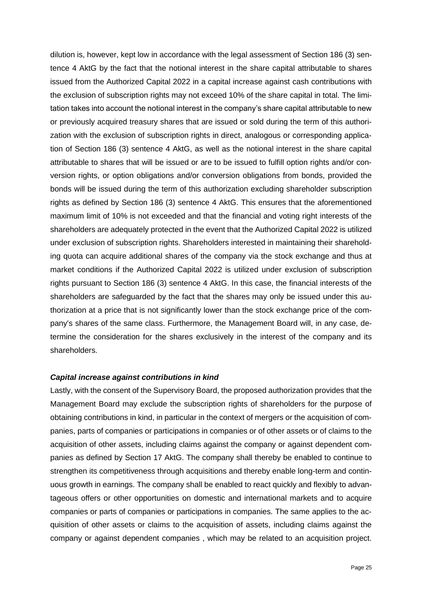dilution is, however, kept low in accordance with the legal assessment of Section 186 (3) sentence 4 AktG by the fact that the notional interest in the share capital attributable to shares issued from the Authorized Capital 2022 in a capital increase against cash contributions with the exclusion of subscription rights may not exceed 10% of the share capital in total. The limitation takes into account the notional interest in the company's share capital attributable to new or previously acquired treasury shares that are issued or sold during the term of this authorization with the exclusion of subscription rights in direct, analogous or corresponding application of Section 186 (3) sentence 4 AktG, as well as the notional interest in the share capital attributable to shares that will be issued or are to be issued to fulfill option rights and/or conversion rights, or option obligations and/or conversion obligations from bonds, provided the bonds will be issued during the term of this authorization excluding shareholder subscription rights as defined by Section 186 (3) sentence 4 AktG. This ensures that the aforementioned maximum limit of 10% is not exceeded and that the financial and voting right interests of the shareholders are adequately protected in the event that the Authorized Capital 2022 is utilized under exclusion of subscription rights. Shareholders interested in maintaining their shareholding quota can acquire additional shares of the company via the stock exchange and thus at market conditions if the Authorized Capital 2022 is utilized under exclusion of subscription rights pursuant to Section 186 (3) sentence 4 AktG. In this case, the financial interests of the shareholders are safeguarded by the fact that the shares may only be issued under this authorization at a price that is not significantly lower than the stock exchange price of the company's shares of the same class. Furthermore, the Management Board will, in any case, determine the consideration for the shares exclusively in the interest of the company and its shareholders.

#### *Capital increase against contributions in kind*

Lastly, with the consent of the Supervisory Board, the proposed authorization provides that the Management Board may exclude the subscription rights of shareholders for the purpose of obtaining contributions in kind, in particular in the context of mergers or the acquisition of companies, parts of companies or participations in companies or of other assets or of claims to the acquisition of other assets, including claims against the company or against dependent companies as defined by Section 17 AktG. The company shall thereby be enabled to continue to strengthen its competitiveness through acquisitions and thereby enable long-term and continuous growth in earnings. The company shall be enabled to react quickly and flexibly to advantageous offers or other opportunities on domestic and international markets and to acquire companies or parts of companies or participations in companies. The same applies to the acquisition of other assets or claims to the acquisition of assets, including claims against the company or against dependent companies , which may be related to an acquisition project.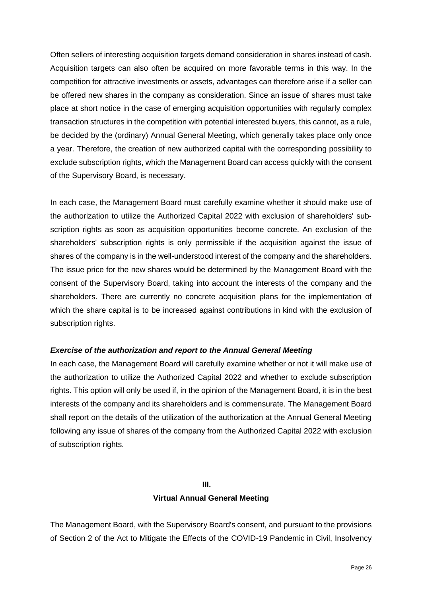Often sellers of interesting acquisition targets demand consideration in shares instead of cash. Acquisition targets can also often be acquired on more favorable terms in this way. In the competition for attractive investments or assets, advantages can therefore arise if a seller can be offered new shares in the company as consideration. Since an issue of shares must take place at short notice in the case of emerging acquisition opportunities with regularly complex transaction structures in the competition with potential interested buyers, this cannot, as a rule, be decided by the (ordinary) Annual General Meeting, which generally takes place only once a year. Therefore, the creation of new authorized capital with the corresponding possibility to exclude subscription rights, which the Management Board can access quickly with the consent of the Supervisory Board, is necessary.

In each case, the Management Board must carefully examine whether it should make use of the authorization to utilize the Authorized Capital 2022 with exclusion of shareholders' subscription rights as soon as acquisition opportunities become concrete. An exclusion of the shareholders' subscription rights is only permissible if the acquisition against the issue of shares of the company is in the well-understood interest of the company and the shareholders. The issue price for the new shares would be determined by the Management Board with the consent of the Supervisory Board, taking into account the interests of the company and the shareholders. There are currently no concrete acquisition plans for the implementation of which the share capital is to be increased against contributions in kind with the exclusion of subscription rights.

#### *Exercise of the authorization and report to the Annual General Meeting*

In each case, the Management Board will carefully examine whether or not it will make use of the authorization to utilize the Authorized Capital 2022 and whether to exclude subscription rights. This option will only be used if, in the opinion of the Management Board, it is in the best interests of the company and its shareholders and is commensurate. The Management Board shall report on the details of the utilization of the authorization at the Annual General Meeting following any issue of shares of the company from the Authorized Capital 2022 with exclusion of subscription rights.

#### **III.**

## **Virtual Annual General Meeting**

The Management Board, with the Supervisory Board's consent, and pursuant to the provisions of Section 2 of the Act to Mitigate the Effects of the COVID-19 Pandemic in Civil, Insolvency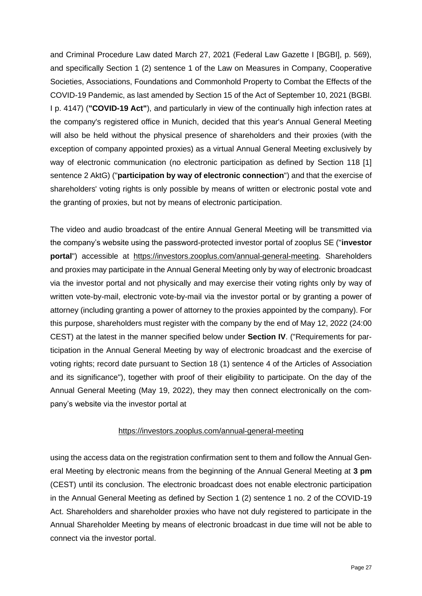and Criminal Procedure Law dated March 27, 2021 (Federal Law Gazette I [BGBI], p. 569), and specifically Section 1 (2) sentence 1 of the Law on Measures in Company, Cooperative Societies, Associations, Foundations and Commonhold Property to Combat the Effects of the COVID-19 Pandemic, as last amended by Section 15 of the Act of September 10, 2021 (BGBl. I p. 4147) (**"COVID-19 Act"**), and particularly in view of the continually high infection rates at the company's registered office in Munich, decided that this year's Annual General Meeting will also be held without the physical presence of shareholders and their proxies (with the exception of company appointed proxies) as a virtual Annual General Meeting exclusively by way of electronic communication (no electronic participation as defined by Section 118 [1] sentence 2 AktG) ("**participation by way of electronic connection**") and that the exercise of shareholders' voting rights is only possible by means of written or electronic postal vote and the granting of proxies, but not by means of electronic participation.

The video and audio broadcast of the entire Annual General Meeting will be transmitted via the company's website using the password-protected investor portal of zooplus SE ("**investor portal**") accessible at https://investors.zooplus.com/annual-general-meeting. Shareholders and proxies may participate in the Annual General Meeting only by way of electronic broadcast via the investor portal and not physically and may exercise their voting rights only by way of written vote-by-mail, electronic vote-by-mail via the investor portal or by granting a power of attorney (including granting a power of attorney to the proxies appointed by the company). For this purpose, shareholders must register with the company by the end of May 12, 2022 (24:00 CEST) at the latest in the manner specified below under **Section IV**. ("Requirements for participation in the Annual General Meeting by way of electronic broadcast and the exercise of voting rights; record date pursuant to Section 18 (1) sentence 4 of the Articles of Association and its significance"), together with proof of their eligibility to participate. On the day of the Annual General Meeting (May 19, 2022), they may then connect electronically on the company's website via the investor portal at

## https://investors.zooplus.com/annual-general-meeting

using the access data on the registration confirmation sent to them and follow the Annual General Meeting by electronic means from the beginning of the Annual General Meeting at **3 pm** (CEST) until its conclusion. The electronic broadcast does not enable electronic participation in the Annual General Meeting as defined by Section 1 (2) sentence 1 no. 2 of the COVID-19 Act. Shareholders and shareholder proxies who have not duly registered to participate in the Annual Shareholder Meeting by means of electronic broadcast in due time will not be able to connect via the investor portal.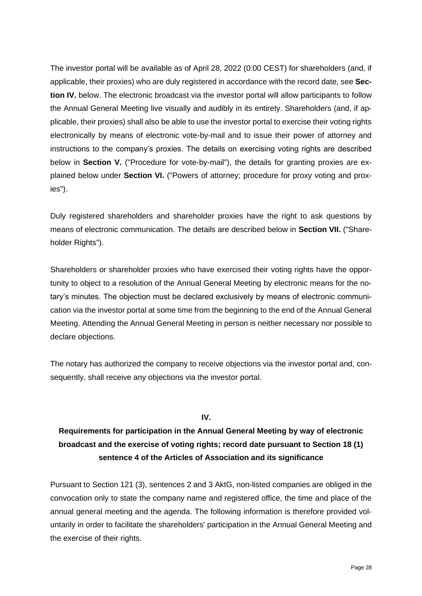The investor portal will be available as of April 28, 2022 (0:00 CEST) for shareholders (and, if applicable, their proxies) who are duly registered in accordance with the record date, see **Section IV.** below. The electronic broadcast via the investor portal will allow participants to follow the Annual General Meeting live visually and audibly in its entirety. Shareholders (and, if applicable, their proxies) shall also be able to use the investor portal to exercise their voting rights electronically by means of electronic vote-by-mail and to issue their power of attorney and instructions to the company's proxies. The details on exercising voting rights are described below in **Section V.** ("Procedure for vote-by-mail"), the details for granting proxies are explained below under **Section VI.** ("Powers of attorney; procedure for proxy voting and proxies").

Duly registered shareholders and shareholder proxies have the right to ask questions by means of electronic communication. The details are described below in **Section VII.** ("Shareholder Rights").

Shareholders or shareholder proxies who have exercised their voting rights have the opportunity to object to a resolution of the Annual General Meeting by electronic means for the notary's minutes. The objection must be declared exclusively by means of electronic communication via the investor portal at some time from the beginning to the end of the Annual General Meeting. Attending the Annual General Meeting in person is neither necessary nor possible to declare objections.

The notary has authorized the company to receive objections via the investor portal and, consequently, shall receive any objections via the investor portal.

#### **IV.**

# **Requirements for participation in the Annual General Meeting by way of electronic broadcast and the exercise of voting rights; record date pursuant to Section 18 (1) sentence 4 of the Articles of Association and its significance**

Pursuant to Section 121 (3), sentences 2 and 3 AktG, non-listed companies are obliged in the convocation only to state the company name and registered office, the time and place of the annual general meeting and the agenda. The following information is therefore provided voluntarily in order to facilitate the shareholders' participation in the Annual General Meeting and the exercise of their rights.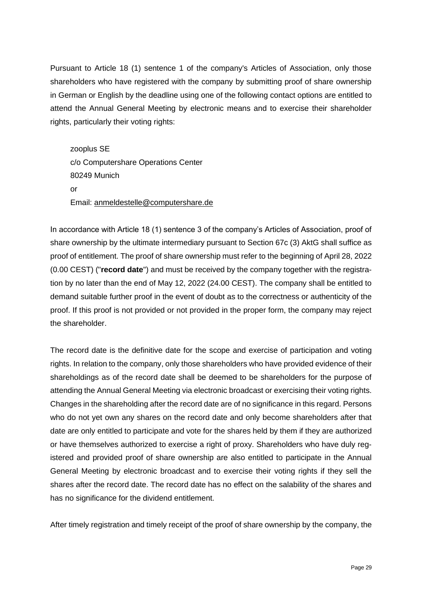Pursuant to Article 18 (1) sentence 1 of the company's Articles of Association, only those shareholders who have registered with the company by submitting proof of share ownership in German or English by the deadline using one of the following contact options are entitled to attend the Annual General Meeting by electronic means and to exercise their shareholder rights, particularly their voting rights:

zooplus SE c/o Computershare Operations Center 80249 Munich or Email: [anmeldestelle@computershare.de](mailto:anmeldestelle@computershare.de)

In accordance with Article 18 (1) sentence 3 of the company's Articles of Association, proof of share ownership by the ultimate intermediary pursuant to Section 67c (3) AktG shall suffice as proof of entitlement. The proof of share ownership must refer to the beginning of April 28, 2022 (0.00 CEST) ("**record date**") and must be received by the company together with the registration by no later than the end of May 12, 2022 (24.00 CEST). The company shall be entitled to demand suitable further proof in the event of doubt as to the correctness or authenticity of the proof. If this proof is not provided or not provided in the proper form, the company may reject the shareholder.

The record date is the definitive date for the scope and exercise of participation and voting rights. In relation to the company, only those shareholders who have provided evidence of their shareholdings as of the record date shall be deemed to be shareholders for the purpose of attending the Annual General Meeting via electronic broadcast or exercising their voting rights. Changes in the shareholding after the record date are of no significance in this regard. Persons who do not yet own any shares on the record date and only become shareholders after that date are only entitled to participate and vote for the shares held by them if they are authorized or have themselves authorized to exercise a right of proxy. Shareholders who have duly registered and provided proof of share ownership are also entitled to participate in the Annual General Meeting by electronic broadcast and to exercise their voting rights if they sell the shares after the record date. The record date has no effect on the salability of the shares and has no significance for the dividend entitlement.

After timely registration and timely receipt of the proof of share ownership by the company, the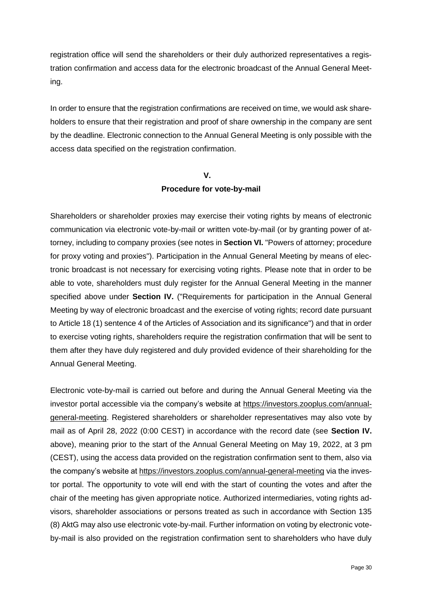registration office will send the shareholders or their duly authorized representatives a registration confirmation and access data for the electronic broadcast of the Annual General Meeting.

In order to ensure that the registration confirmations are received on time, we would ask shareholders to ensure that their registration and proof of share ownership in the company are sent by the deadline. Electronic connection to the Annual General Meeting is only possible with the access data specified on the registration confirmation.

#### **V.**

## **Procedure for vote-by-mail**

Shareholders or shareholder proxies may exercise their voting rights by means of electronic communication via electronic vote-by-mail or written vote-by-mail (or by granting power of attorney, including to company proxies (see notes in **Section VI.** "Powers of attorney; procedure for proxy voting and proxies"). Participation in the Annual General Meeting by means of electronic broadcast is not necessary for exercising voting rights. Please note that in order to be able to vote, shareholders must duly register for the Annual General Meeting in the manner specified above under **Section IV.** ("Requirements for participation in the Annual General Meeting by way of electronic broadcast and the exercise of voting rights; record date pursuant to Article 18 (1) sentence 4 of the Articles of Association and its significance") and that in order to exercise voting rights, shareholders require the registration confirmation that will be sent to them after they have duly registered and duly provided evidence of their shareholding for the Annual General Meeting.

Electronic vote-by-mail is carried out before and during the Annual General Meeting via the investor portal accessible via the company's website at https://investors.zooplus.com/annualgeneral-meeting. Registered shareholders or shareholder representatives may also vote by mail as of April 28, 2022 (0:00 CEST) in accordance with the record date (see **Section IV.** above), meaning prior to the start of the Annual General Meeting on May 19, 2022, at 3 pm (CEST), using the access data provided on the registration confirmation sent to them, also via the company's website at https://investors.zooplus.com/annual-general-meeting via the investor portal. The opportunity to vote will end with the start of counting the votes and after the chair of the meeting has given appropriate notice. Authorized intermediaries, voting rights advisors, shareholder associations or persons treated as such in accordance with Section 135 (8) AktG may also use electronic vote-by-mail. Further information on voting by electronic voteby-mail is also provided on the registration confirmation sent to shareholders who have duly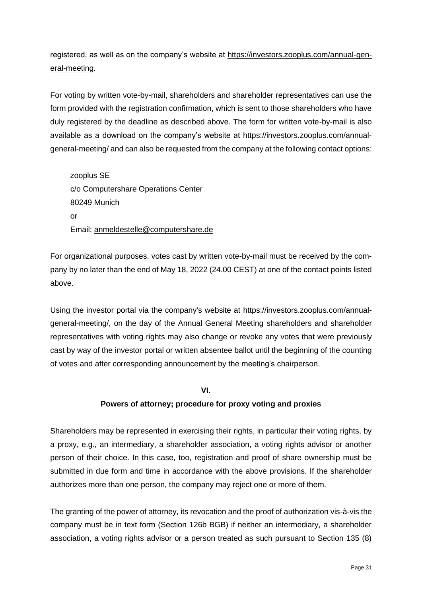registered, as well as on the company's website at https://investors.zooplus.com/annual-general-meeting.

For voting by written vote-by-mail, shareholders and shareholder representatives can use the form provided with the registration confirmation, which is sent to those shareholders who have duly registered by the deadline as described above. The form for written vote-by-mail is also available as a download on the company's website at [https://investors.zooplus.com/annual](https://investors.zooplus.com/en/investor-relations/general-assembly/)[general-meeting/](https://investors.zooplus.com/en/investor-relations/general-assembly/) and can also be requested from the company at the following contact options:

zooplus SE c/o Computershare Operations Center 80249 Munich or Email: [anmeldestelle@computershare.de](mailto:anmeldestelle@computershare.de)

For organizational purposes, votes cast by written vote-by-mail must be received by the company by no later than the end of May 18, 2022 (24.00 CEST) at one of the contact points listed above.

Using the investor portal via the company's website at [https://investors.zooplus.com/annual](https://investors.zooplus.com/en/investor-relations/general-assembly/)[general-meeting/,](https://investors.zooplus.com/en/investor-relations/general-assembly/) on the day of the Annual General Meeting shareholders and shareholder representatives with voting rights may also change or revoke any votes that were previously cast by way of the investor portal or written absentee ballot until the beginning of the counting of votes and after corresponding announcement by the meeting's chairperson.

#### **VI.**

## **Powers of attorney; procedure for proxy voting and proxies**

Shareholders may be represented in exercising their rights, in particular their voting rights, by a proxy, e.g., an intermediary, a shareholder association, a voting rights advisor or another person of their choice. In this case, too, registration and proof of share ownership must be submitted in due form and time in accordance with the above provisions. If the shareholder authorizes more than one person, the company may reject one or more of them.

The granting of the power of attorney, its revocation and the proof of authorization vis-à-vis the company must be in text form (Section 126b BGB) if neither an intermediary, a shareholder association, a voting rights advisor or a person treated as such pursuant to Section 135 (8)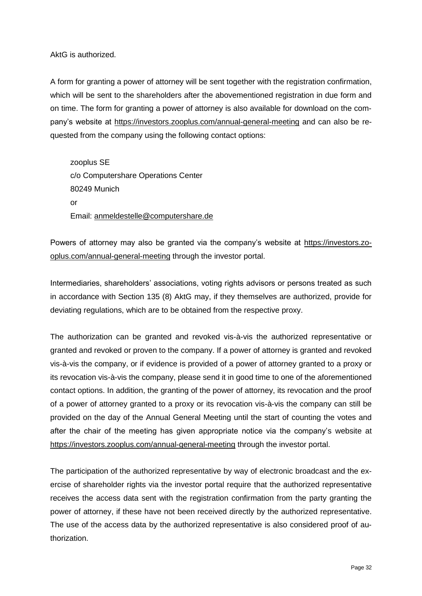AktG is authorized.

A form for granting a power of attorney will be sent together with the registration confirmation, which will be sent to the shareholders after the abovementioned registration in due form and on time. The form for granting a power of attorney is also available for download on the company's website at https://investors.zooplus.com/annual-general-meeting and can also be requested from the company using the following contact options:

zooplus SE c/o Computershare Operations Center 80249 Munich or Email: [anmeldestelle@computershare.de](mailto:anmeldestelle@computershare.de)

Powers of attorney may also be granted via the company's website at https://investors.zooplus.com/annual-general-meeting through the investor portal.

Intermediaries, shareholders' associations, voting rights advisors or persons treated as such in accordance with Section 135 (8) AktG may, if they themselves are authorized, provide for deviating regulations, which are to be obtained from the respective proxy.

The authorization can be granted and revoked vis-à-vis the authorized representative or granted and revoked or proven to the company. If a power of attorney is granted and revoked vis-à-vis the company, or if evidence is provided of a power of attorney granted to a proxy or its revocation vis-à-vis the company, please send it in good time to one of the aforementioned contact options. In addition, the granting of the power of attorney, its revocation and the proof of a power of attorney granted to a proxy or its revocation vis-à-vis the company can still be provided on the day of the Annual General Meeting until the start of counting the votes and after the chair of the meeting has given appropriate notice via the company's website at https://investors.zooplus.com/annual-general-meeting through the investor portal.

The participation of the authorized representative by way of electronic broadcast and the exercise of shareholder rights via the investor portal require that the authorized representative receives the access data sent with the registration confirmation from the party granting the power of attorney, if these have not been received directly by the authorized representative. The use of the access data by the authorized representative is also considered proof of authorization.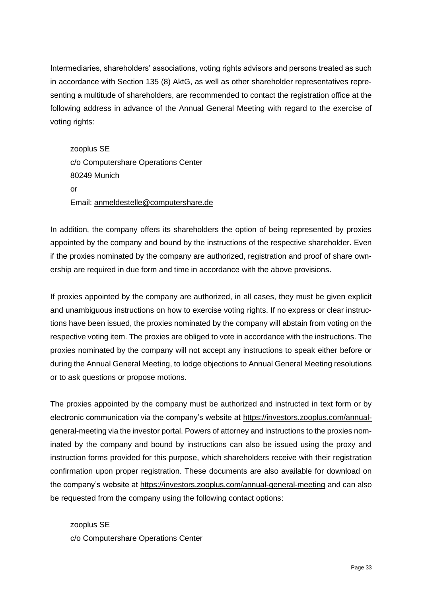Intermediaries, shareholders' associations, voting rights advisors and persons treated as such in accordance with Section 135 (8) AktG, as well as other shareholder representatives representing a multitude of shareholders, are recommended to contact the registration office at the following address in advance of the Annual General Meeting with regard to the exercise of voting rights:

zooplus SE c/o Computershare Operations Center 80249 Munich  $\alpha$ r Email: [anmeldestelle@computershare.de](mailto:anmeldestelle@computershare.de)

In addition, the company offers its shareholders the option of being represented by proxies appointed by the company and bound by the instructions of the respective shareholder. Even if the proxies nominated by the company are authorized, registration and proof of share ownership are required in due form and time in accordance with the above provisions.

If proxies appointed by the company are authorized, in all cases, they must be given explicit and unambiguous instructions on how to exercise voting rights. If no express or clear instructions have been issued, the proxies nominated by the company will abstain from voting on the respective voting item. The proxies are obliged to vote in accordance with the instructions. The proxies nominated by the company will not accept any instructions to speak either before or during the Annual General Meeting, to lodge objections to Annual General Meeting resolutions or to ask questions or propose motions.

The proxies appointed by the company must be authorized and instructed in text form or by electronic communication via the company's website at https://investors.zooplus.com/annualgeneral-meeting via the investor portal. Powers of attorney and instructions to the proxies nominated by the company and bound by instructions can also be issued using the proxy and instruction forms provided for this purpose, which shareholders receive with their registration confirmation upon proper registration. These documents are also available for download on the company's website at https://investors.zooplus.com/annual-general-meeting and can also be requested from the company using the following contact options:

zooplus SE c/o Computershare Operations Center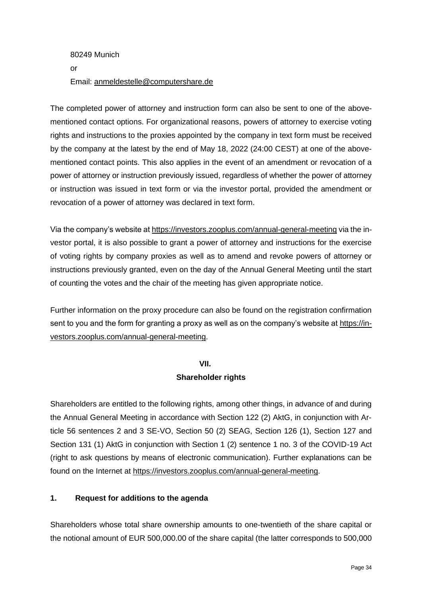# 80249 Munich or Email: [anmeldestelle@computershare.de](mailto:anmeldestelle@computershare.de)

The completed power of attorney and instruction form can also be sent to one of the abovementioned contact options. For organizational reasons, powers of attorney to exercise voting rights and instructions to the proxies appointed by the company in text form must be received by the company at the latest by the end of May 18, 2022 (24:00 CEST) at one of the abovementioned contact points. This also applies in the event of an amendment or revocation of a power of attorney or instruction previously issued, regardless of whether the power of attorney or instruction was issued in text form or via the investor portal, provided the amendment or revocation of a power of attorney was declared in text form.

Via the company's website at https://investors.zooplus.com/annual-general-meeting via the investor portal, it is also possible to grant a power of attorney and instructions for the exercise of voting rights by company proxies as well as to amend and revoke powers of attorney or instructions previously granted, even on the day of the Annual General Meeting until the start of counting the votes and the chair of the meeting has given appropriate notice.

Further information on the proxy procedure can also be found on the registration confirmation sent to you and the form for granting a proxy as well as on the company's website at https://investors.zooplus.com/annual-general-meeting.

## **VII.**

## **Shareholder rights**

Shareholders are entitled to the following rights, among other things, in advance of and during the Annual General Meeting in accordance with Section 122 (2) AktG, in conjunction with Article 56 sentences 2 and 3 SE-VO, Section 50 (2) SEAG, Section 126 (1), Section 127 and Section 131 (1) AktG in conjunction with Section 1 (2) sentence 1 no. 3 of the COVID-19 Act (right to ask questions by means of electronic communication). Further explanations can be found on the Internet at https://investors.zooplus.com/annual-general-meeting.

## **1. Request for additions to the agenda**

Shareholders whose total share ownership amounts to one-twentieth of the share capital or the notional amount of EUR 500,000.00 of the share capital (the latter corresponds to 500,000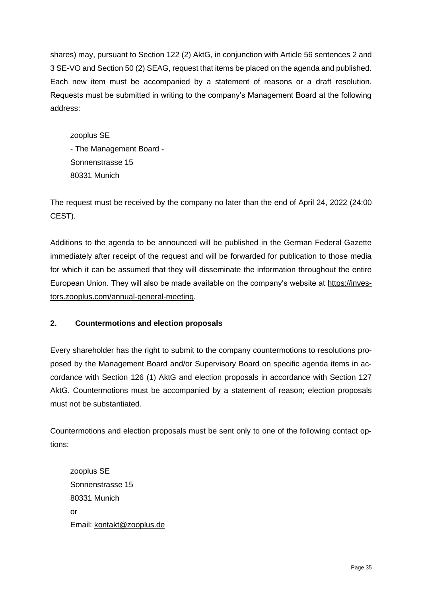shares) may, pursuant to Section 122 (2) AktG, in conjunction with Article 56 sentences 2 and 3 SE-VO and Section 50 (2) SEAG, request that items be placed on the agenda and published. Each new item must be accompanied by a statement of reasons or a draft resolution. Requests must be submitted in writing to the company's Management Board at the following address:

zooplus SE - The Management Board - Sonnenstrasse 15 80331 Munich

The request must be received by the company no later than the end of April 24, 2022 (24:00 CEST).

Additions to the agenda to be announced will be published in the German Federal Gazette immediately after receipt of the request and will be forwarded for publication to those media for which it can be assumed that they will disseminate the information throughout the entire European Union. They will also be made available on the company's website at https://investors.zooplus.com/annual-general-meeting.

## **2. Countermotions and election proposals**

Every shareholder has the right to submit to the company countermotions to resolutions proposed by the Management Board and/or Supervisory Board on specific agenda items in accordance with Section 126 (1) AktG and election proposals in accordance with Section 127 AktG. Countermotions must be accompanied by a statement of reason; election proposals must not be substantiated.

Countermotions and election proposals must be sent only to one of the following contact options:

zooplus SE Sonnenstrasse 15 80331 Munich or Email: kontakt@zooplus.de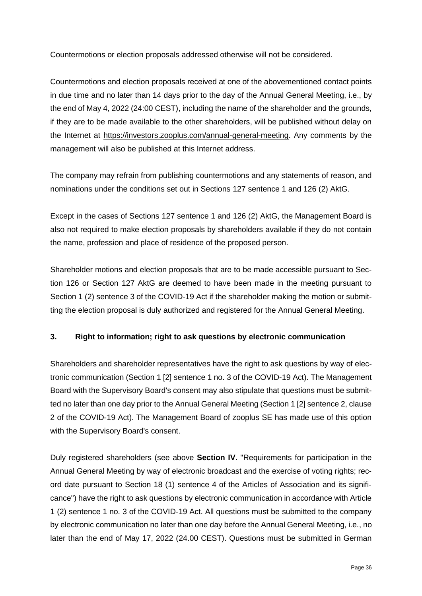Countermotions or election proposals addressed otherwise will not be considered.

Countermotions and election proposals received at one of the abovementioned contact points in due time and no later than 14 days prior to the day of the Annual General Meeting, i.e., by the end of May 4, 2022 (24:00 CEST), including the name of the shareholder and the grounds, if they are to be made available to the other shareholders, will be published without delay on the Internet at https://investors.zooplus.com/annual-general-meeting. Any comments by the management will also be published at this Internet address.

The company may refrain from publishing countermotions and any statements of reason, and nominations under the conditions set out in Sections 127 sentence 1 and 126 (2) AktG.

Except in the cases of Sections 127 sentence 1 and 126 (2) AktG, the Management Board is also not required to make election proposals by shareholders available if they do not contain the name, profession and place of residence of the proposed person.

Shareholder motions and election proposals that are to be made accessible pursuant to Section 126 or Section 127 AktG are deemed to have been made in the meeting pursuant to Section 1 (2) sentence 3 of the COVID-19 Act if the shareholder making the motion or submitting the election proposal is duly authorized and registered for the Annual General Meeting.

## **3. Right to information; right to ask questions by electronic communication**

Shareholders and shareholder representatives have the right to ask questions by way of electronic communication (Section 1 [2] sentence 1 no. 3 of the COVID-19 Act). The Management Board with the Supervisory Board's consent may also stipulate that questions must be submitted no later than one day prior to the Annual General Meeting (Section 1 [2] sentence 2, clause 2 of the COVID-19 Act). The Management Board of zooplus SE has made use of this option with the Supervisory Board's consent.

Duly registered shareholders (see above **Section IV.** "Requirements for participation in the Annual General Meeting by way of electronic broadcast and the exercise of voting rights; record date pursuant to Section 18 (1) sentence 4 of the Articles of Association and its significance") have the right to ask questions by electronic communication in accordance with Article 1 (2) sentence 1 no. 3 of the COVID-19 Act. All questions must be submitted to the company by electronic communication no later than one day before the Annual General Meeting, i.e., no later than the end of May 17, 2022 (24.00 CEST). Questions must be submitted in German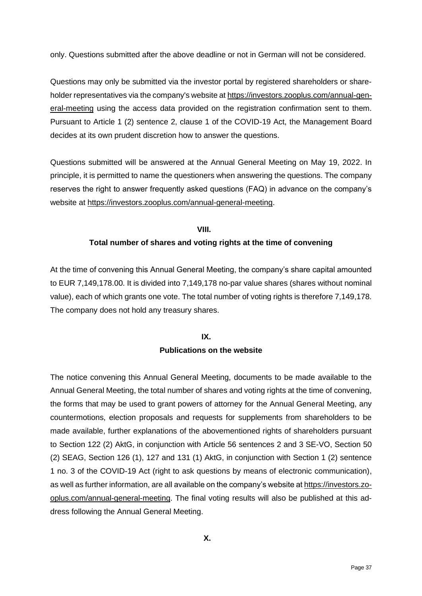only. Questions submitted after the above deadline or not in German will not be considered.

Questions may only be submitted via the investor portal by registered shareholders or shareholder representatives via the company's website at https://investors.zooplus.com/annual-general-meeting using the access data provided on the registration confirmation sent to them. Pursuant to Article 1 (2) sentence 2, clause 1 of the COVID-19 Act, the Management Board decides at its own prudent discretion how to answer the questions.

Questions submitted will be answered at the Annual General Meeting on May 19, 2022. In principle, it is permitted to name the questioners when answering the questions. The company reserves the right to answer frequently asked questions (FAQ) in advance on the company's website at https://investors.zooplus.com/annual-general-meeting.

#### **VIII.**

## **Total number of shares and voting rights at the time of convening**

At the time of convening this Annual General Meeting, the company's share capital amounted to EUR 7,149,178.00. It is divided into 7,149,178 no-par value shares (shares without nominal value), each of which grants one vote. The total number of voting rights is therefore 7,149,178. The company does not hold any treasury shares.

# **IX.**

## **Publications on the website**

The notice convening this Annual General Meeting, documents to be made available to the Annual General Meeting, the total number of shares and voting rights at the time of convening, the forms that may be used to grant powers of attorney for the Annual General Meeting, any countermotions, election proposals and requests for supplements from shareholders to be made available, further explanations of the abovementioned rights of shareholders pursuant to Section 122 (2) AktG, in conjunction with Article 56 sentences 2 and 3 SE-VO, Section 50 (2) SEAG, Section 126 (1), 127 and 131 (1) AktG, in conjunction with Section 1 (2) sentence 1 no. 3 of the COVID-19 Act (right to ask questions by means of electronic communication), as well as further information, are all available on the company's website at https://investors.zooplus.com/annual-general-meeting. The final voting results will also be published at this address following the Annual General Meeting.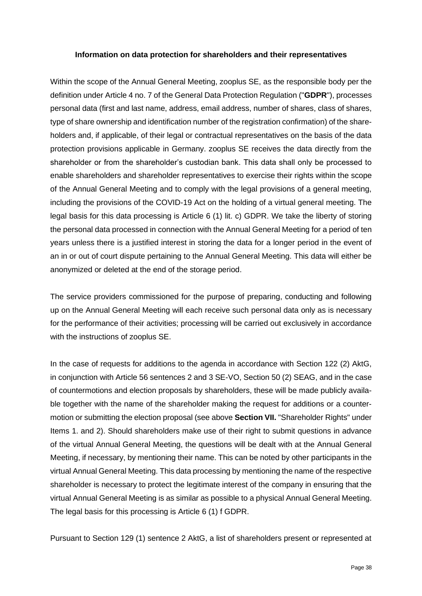#### **Information on data protection for shareholders and their representatives**

Within the scope of the Annual General Meeting, zooplus SE, as the responsible body per the definition under Article 4 no. 7 of the General Data Protection Regulation ("**GDPR**"), processes personal data (first and last name, address, email address, number of shares, class of shares, type of share ownership and identification number of the registration confirmation) of the shareholders and, if applicable, of their legal or contractual representatives on the basis of the data protection provisions applicable in Germany. zooplus SE receives the data directly from the shareholder or from the shareholder's custodian bank. This data shall only be processed to enable shareholders and shareholder representatives to exercise their rights within the scope of the Annual General Meeting and to comply with the legal provisions of a general meeting, including the provisions of the COVID-19 Act on the holding of a virtual general meeting. The legal basis for this data processing is Article 6 (1) lit. c) GDPR. We take the liberty of storing the personal data processed in connection with the Annual General Meeting for a period of ten years unless there is a justified interest in storing the data for a longer period in the event of an in or out of court dispute pertaining to the Annual General Meeting. This data will either be anonymized or deleted at the end of the storage period.

The service providers commissioned for the purpose of preparing, conducting and following up on the Annual General Meeting will each receive such personal data only as is necessary for the performance of their activities; processing will be carried out exclusively in accordance with the instructions of zooplus SE.

In the case of requests for additions to the agenda in accordance with Section 122 (2) AktG, in conjunction with Article 56 sentences 2 and 3 SE-VO, Section 50 (2) SEAG, and in the case of countermotions and election proposals by shareholders, these will be made publicly available together with the name of the shareholder making the request for additions or a countermotion or submitting the election proposal (see above **Section VII.** "Shareholder Rights" under Items 1. and 2). Should shareholders make use of their right to submit questions in advance of the virtual Annual General Meeting, the questions will be dealt with at the Annual General Meeting, if necessary, by mentioning their name. This can be noted by other participants in the virtual Annual General Meeting. This data processing by mentioning the name of the respective shareholder is necessary to protect the legitimate interest of the company in ensuring that the virtual Annual General Meeting is as similar as possible to a physical Annual General Meeting. The legal basis for this processing is Article 6 (1) f GDPR.

Pursuant to Section 129 (1) sentence 2 AktG, a list of shareholders present or represented at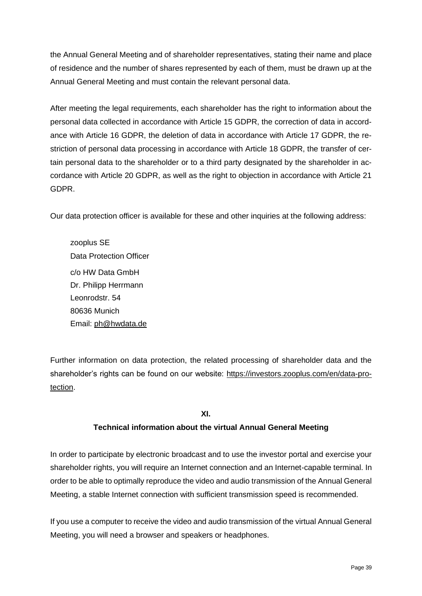the Annual General Meeting and of shareholder representatives, stating their name and place of residence and the number of shares represented by each of them, must be drawn up at the Annual General Meeting and must contain the relevant personal data.

After meeting the legal requirements, each shareholder has the right to information about the personal data collected in accordance with Article 15 GDPR, the correction of data in accordance with Article 16 GDPR, the deletion of data in accordance with Article 17 GDPR, the restriction of personal data processing in accordance with Article 18 GDPR, the transfer of certain personal data to the shareholder or to a third party designated by the shareholder in accordance with Article 20 GDPR, as well as the right to objection in accordance with Article 21 GDPR.

Our data protection officer is available for these and other inquiries at the following address:

zooplus SE Data Protection Officer c/o HW Data GmbH Dr. Philipp Herrmann Leonrodstr. 54 80636 Munich Email: ph@hwdata.de

Further information on data protection, the related processing of shareholder data and the shareholder's rights can be found on our website: https://investors.zooplus.com/en/data-protection.

## **XI.**

## **Technical information about the virtual Annual General Meeting**

In order to participate by electronic broadcast and to use the investor portal and exercise your shareholder rights, you will require an Internet connection and an Internet-capable terminal. In order to be able to optimally reproduce the video and audio transmission of the Annual General Meeting, a stable Internet connection with sufficient transmission speed is recommended.

If you use a computer to receive the video and audio transmission of the virtual Annual General Meeting, you will need a browser and speakers or headphones.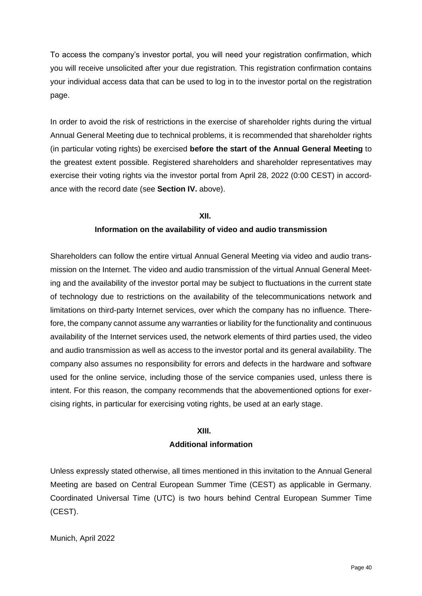To access the company's investor portal, you will need your registration confirmation, which you will receive unsolicited after your due registration. This registration confirmation contains your individual access data that can be used to log in to the investor portal on the registration page.

In order to avoid the risk of restrictions in the exercise of shareholder rights during the virtual Annual General Meeting due to technical problems, it is recommended that shareholder rights (in particular voting rights) be exercised **before the start of the Annual General Meeting** to the greatest extent possible. Registered shareholders and shareholder representatives may exercise their voting rights via the investor portal from April 28, 2022 (0:00 CEST) in accordance with the record date (see **Section IV.** above).

#### **XII.**

#### **Information on the availability of video and audio transmission**

Shareholders can follow the entire virtual Annual General Meeting via video and audio transmission on the Internet. The video and audio transmission of the virtual Annual General Meeting and the availability of the investor portal may be subject to fluctuations in the current state of technology due to restrictions on the availability of the telecommunications network and limitations on third-party Internet services, over which the company has no influence. Therefore, the company cannot assume any warranties or liability for the functionality and continuous availability of the Internet services used, the network elements of third parties used, the video and audio transmission as well as access to the investor portal and its general availability. The company also assumes no responsibility for errors and defects in the hardware and software used for the online service, including those of the service companies used, unless there is intent. For this reason, the company recommends that the abovementioned options for exercising rights, in particular for exercising voting rights, be used at an early stage.

#### **XIII.**

#### **Additional information**

Unless expressly stated otherwise, all times mentioned in this invitation to the Annual General Meeting are based on Central European Summer Time (CEST) as applicable in Germany. Coordinated Universal Time (UTC) is two hours behind Central European Summer Time (CEST).

Munich, April 2022